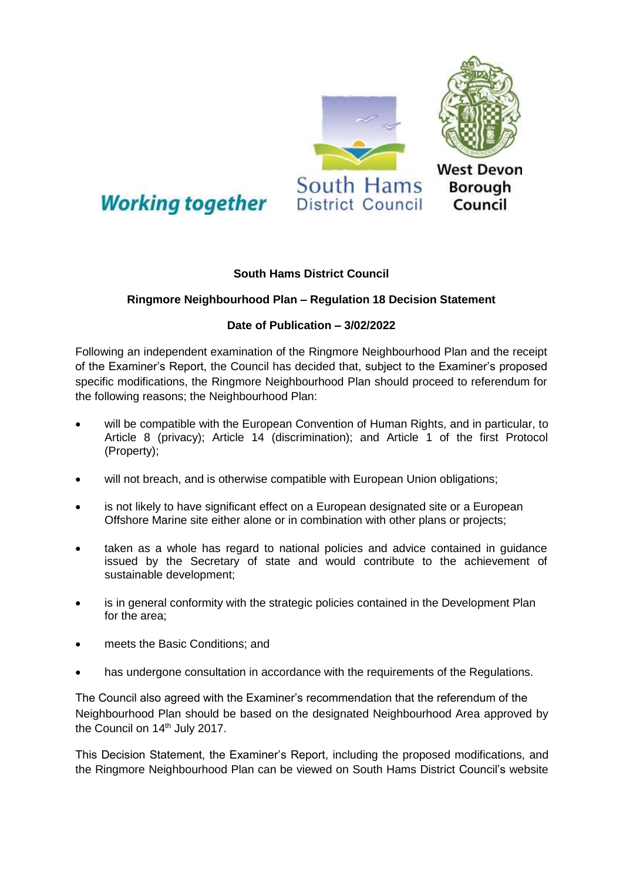

## **Working together**

## **South Hams District Council**

## **Ringmore Neighbourhood Plan – Regulation 18 Decision Statement**

## **Date of Publication – 3/02/2022**

Following an independent examination of the Ringmore Neighbourhood Plan and the receipt of the Examiner's Report, the Council has decided that, subject to the Examiner's proposed specific modifications, the Ringmore Neighbourhood Plan should proceed to referendum for the following reasons; the Neighbourhood Plan:

- will be compatible with the European Convention of Human Rights, and in particular, to Article 8 (privacy); Article 14 (discrimination); and Article 1 of the first Protocol (Property);
- will not breach, and is otherwise compatible with European Union obligations;
- is not likely to have significant effect on a European designated site or a European Offshore Marine site either alone or in combination with other plans or projects;
- taken as a whole has regard to national policies and advice contained in guidance issued by the Secretary of state and would contribute to the achievement of sustainable development;
- is in general conformity with the strategic policies contained in the Development Plan for the area;
- meets the Basic Conditions; and
- has undergone consultation in accordance with the requirements of the Regulations.

The Council also agreed with the Examiner's recommendation that the referendum of the Neighbourhood Plan should be based on the designated Neighbourhood Area approved by the Council on 14<sup>th</sup> July 2017.

This Decision Statement, the Examiner's Report, including the proposed modifications, and the Ringmore Neighbourhood Plan can be viewed on South Hams District Council's website